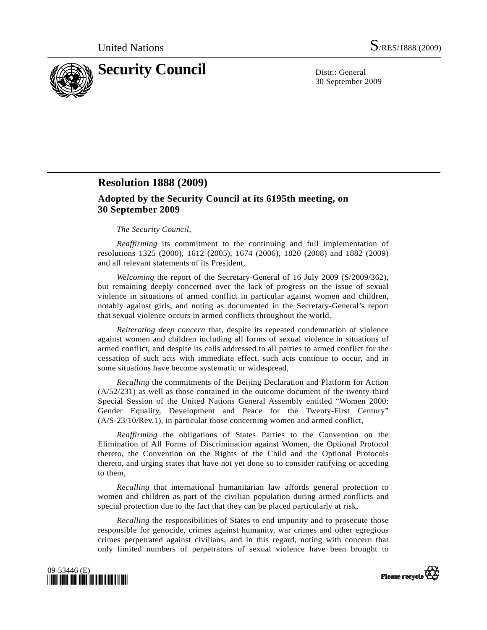

30 September 2009

## **Resolution 1888 (2009)**

## **Adopted by the Security Council at its 6195th meeting, on 30 September 2009**

## *The Security Council*,

*Reaffirming* its commitment to the continuing and full implementation of resolutions 1325 (2000), 1612 (2005), 1674 (2006), 1820 (2008) and 1882 (2009) and all relevant statements of its President,

*Welcoming* the report of the Secretary-General of 16 July 2009 (S/2009/362), but remaining deeply concerned over the lack of progress on the issue of sexual violence in situations of armed conflict in particular against women and children, notably against girls, and noting as documented in the Secretary-General's report that sexual violence occurs in armed conflicts throughout the world,

*Reiterating deep concern* that, despite its repeated condemnation of violence against women and children including all forms of sexual violence in situations of armed conflict, and despite its calls addressed to all parties to armed conflict for the cessation of such acts with immediate effect, such acts continue to occur, and in some situations have become systematic or widespread,

*Recalling* the commitments of the Beijing Declaration and Platform for Action (A/52/231) as well as those contained in the outcome document of the twenty-third Special Session of the United Nations General Assembly entitled "Women 2000: Gender Equality, Development and Peace for the Twenty-First Century" (A/S-23/10/Rev.1), in particular those concerning women and armed conflict,

*Reaffirming* the obligations of States Parties to the Convention on the Elimination of All Forms of Discrimination against Women, the Optional Protocol thereto, the Convention on the Rights of the Child and the Optional Protocols thereto, and urging states that have not yet done so to consider ratifying or acceding to them,

*Recalling* that international humanitarian law affords general protection to women and children as part of the civilian population during armed conflicts and special protection due to the fact that they can be placed particularly at risk,

*Recalling* the responsibilities of States to end impunity and to prosecute those responsible for genocide, crimes against humanity, war crimes and other egregious crimes perpetrated against civilians, and in this regard, noting with concern that only limited numbers of perpetrators of sexual violence have been brought to



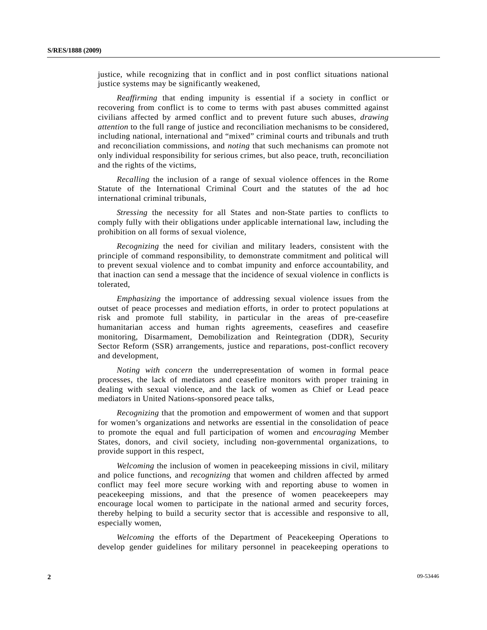justice, while recognizing that in conflict and in post conflict situations national justice systems may be significantly weakened,

*Reaffirming* that ending impunity is essential if a society in conflict or recovering from conflict is to come to terms with past abuses committed against civilians affected by armed conflict and to prevent future such abuses, *drawing attention* to the full range of justice and reconciliation mechanisms to be considered, including national, international and "mixed" criminal courts and tribunals and truth and reconciliation commissions, and *noting* that such mechanisms can promote not only individual responsibility for serious crimes, but also peace, truth, reconciliation and the rights of the victims,

*Recalling* the inclusion of a range of sexual violence offences in the Rome Statute of the International Criminal Court and the statutes of the ad hoc international criminal tribunals,

*Stressing* the necessity for all States and non-State parties to conflicts to comply fully with their obligations under applicable international law, including the prohibition on all forms of sexual violence,

*Recognizing* the need for civilian and military leaders, consistent with the principle of command responsibility, to demonstrate commitment and political will to prevent sexual violence and to combat impunity and enforce accountability, and that inaction can send a message that the incidence of sexual violence in conflicts is tolerated,

*Emphasizing* the importance of addressing sexual violence issues from the outset of peace processes and mediation efforts, in order to protect populations at risk and promote full stability, in particular in the areas of pre-ceasefire humanitarian access and human rights agreements, ceasefires and ceasefire monitoring, Disarmament, Demobilization and Reintegration (DDR), Security Sector Reform (SSR) arrangements, justice and reparations, post-conflict recovery and development,

*Noting with concern* the underrepresentation of women in formal peace processes, the lack of mediators and ceasefire monitors with proper training in dealing with sexual violence, and the lack of women as Chief or Lead peace mediators in United Nations-sponsored peace talks,

*Recognizing* that the promotion and empowerment of women and that support for women's organizations and networks are essential in the consolidation of peace to promote the equal and full participation of women and *encouraging* Member States, donors, and civil society, including non-governmental organizations, to provide support in this respect,

*Welcoming* the inclusion of women in peacekeeping missions in civil, military and police functions, and *recognizing* that women and children affected by armed conflict may feel more secure working with and reporting abuse to women in peacekeeping missions, and that the presence of women peacekeepers may encourage local women to participate in the national armed and security forces, thereby helping to build a security sector that is accessible and responsive to all, especially women,

*Welcoming* the efforts of the Department of Peacekeeping Operations to develop gender guidelines for military personnel in peacekeeping operations to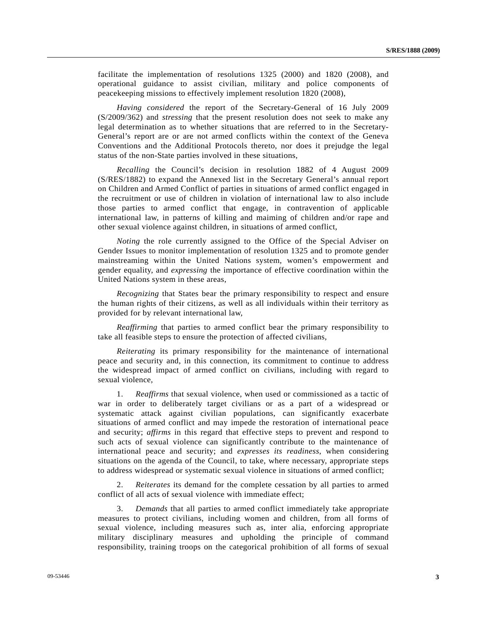facilitate the implementation of resolutions 1325 (2000) and 1820 (2008), and operational guidance to assist civilian, military and police components of peacekeeping missions to effectively implement resolution 1820 (2008),

*Having considered* the report of the Secretary-General of 16 July 2009 (S/2009/362) and *stressing* that the present resolution does not seek to make any legal determination as to whether situations that are referred to in the Secretary-General's report are or are not armed conflicts within the context of the Geneva Conventions and the Additional Protocols thereto, nor does it prejudge the legal status of the non-State parties involved in these situations,

*Recalling* the Council's decision in resolution 1882 of 4 August 2009 (S/RES/1882) to expand the Annexed list in the Secretary General's annual report on Children and Armed Conflict of parties in situations of armed conflict engaged in the recruitment or use of children in violation of international law to also include those parties to armed conflict that engage, in contravention of applicable international law, in patterns of killing and maiming of children and/or rape and other sexual violence against children, in situations of armed conflict,

*Noting* the role currently assigned to the Office of the Special Adviser on Gender Issues to monitor implementation of resolution 1325 and to promote gender mainstreaming within the United Nations system, women's empowerment and gender equality, and *expressing* the importance of effective coordination within the United Nations system in these areas,

*Recognizing* that States bear the primary responsibility to respect and ensure the human rights of their citizens, as well as all individuals within their territory as provided for by relevant international law,

*Reaffirming* that parties to armed conflict bear the primary responsibility to take all feasible steps to ensure the protection of affected civilians,

*Reiterating* its primary responsibility for the maintenance of international peace and security and, in this connection, its commitment to continue to address the widespread impact of armed conflict on civilians, including with regard to sexual violence,

 1. *Reaffirms* that sexual violence, when used or commissioned as a tactic of war in order to deliberately target civilians or as a part of a widespread or systematic attack against civilian populations, can significantly exacerbate situations of armed conflict and may impede the restoration of international peace and security; *affirms* in this regard that effective steps to prevent and respond to such acts of sexual violence can significantly contribute to the maintenance of international peace and security; and *expresses its readiness*, when considering situations on the agenda of the Council, to take, where necessary, appropriate steps to address widespread or systematic sexual violence in situations of armed conflict;

 2. *Reiterates* its demand for the complete cessation by all parties to armed conflict of all acts of sexual violence with immediate effect;

 3. *Demands* that all parties to armed conflict immediately take appropriate measures to protect civilians, including women and children, from all forms of sexual violence, including measures such as, inter alia, enforcing appropriate military disciplinary measures and upholding the principle of command responsibility, training troops on the categorical prohibition of all forms of sexual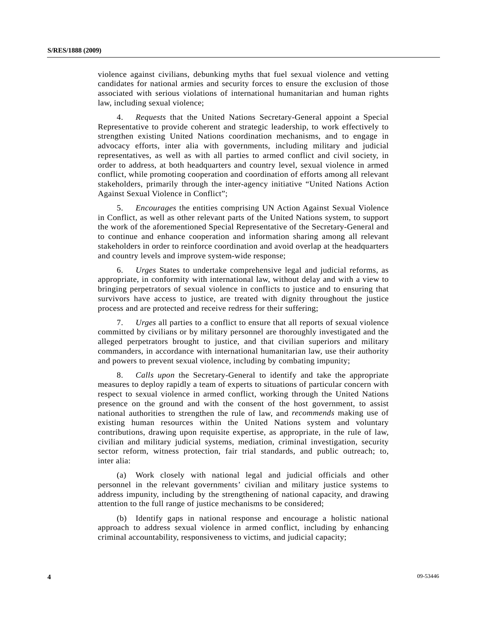violence against civilians, debunking myths that fuel sexual violence and vetting candidates for national armies and security forces to ensure the exclusion of those associated with serious violations of international humanitarian and human rights law, including sexual violence;

 4. *Requests* that the United Nations Secretary-General appoint a Special Representative to provide coherent and strategic leadership, to work effectively to strengthen existing United Nations coordination mechanisms, and to engage in advocacy efforts, inter alia with governments, including military and judicial representatives, as well as with all parties to armed conflict and civil society, in order to address, at both headquarters and country level, sexual violence in armed conflict, while promoting cooperation and coordination of efforts among all relevant stakeholders, primarily through the inter-agency initiative "United Nations Action Against Sexual Violence in Conflict";

 5. *Encourages* the entities comprising UN Action Against Sexual Violence in Conflict, as well as other relevant parts of the United Nations system, to support the work of the aforementioned Special Representative of the Secretary-General and to continue and enhance cooperation and information sharing among all relevant stakeholders in order to reinforce coordination and avoid overlap at the headquarters and country levels and improve system-wide response;

 6. *Urges* States to undertake comprehensive legal and judicial reforms, as appropriate, in conformity with international law, without delay and with a view to bringing perpetrators of sexual violence in conflicts to justice and to ensuring that survivors have access to justice, are treated with dignity throughout the justice process and are protected and receive redress for their suffering;

 7. *Urges* all parties to a conflict to ensure that all reports of sexual violence committed by civilians or by military personnel are thoroughly investigated and the alleged perpetrators brought to justice, and that civilian superiors and military commanders, in accordance with international humanitarian law, use their authority and powers to prevent sexual violence, including by combating impunity;

 8. *Calls upon* the Secretary-General to identify and take the appropriate measures to deploy rapidly a team of experts to situations of particular concern with respect to sexual violence in armed conflict, working through the United Nations presence on the ground and with the consent of the host government, to assist national authorities to strengthen the rule of law, and *recommends* making use of existing human resources within the United Nations system and voluntary contributions, drawing upon requisite expertise, as appropriate, in the rule of law, civilian and military judicial systems, mediation, criminal investigation, security sector reform, witness protection, fair trial standards, and public outreach; to, inter alia:

 (a) Work closely with national legal and judicial officials and other personnel in the relevant governments' civilian and military justice systems to address impunity, including by the strengthening of national capacity, and drawing attention to the full range of justice mechanisms to be considered;

 (b) Identify gaps in national response and encourage a holistic national approach to address sexual violence in armed conflict, including by enhancing criminal accountability, responsiveness to victims, and judicial capacity;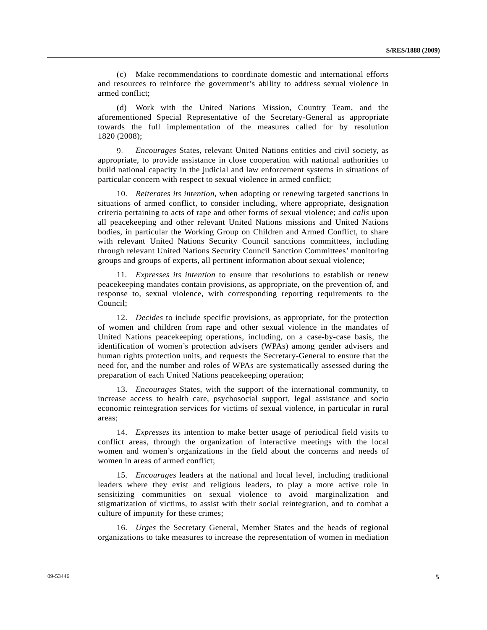(c) Make recommendations to coordinate domestic and international efforts and resources to reinforce the government's ability to address sexual violence in armed conflict;

 (d) Work with the United Nations Mission, Country Team, and the aforementioned Special Representative of the Secretary-General as appropriate towards the full implementation of the measures called for by resolution 1820 (2008);

 9. *Encourages* States, relevant United Nations entities and civil society, as appropriate, to provide assistance in close cooperation with national authorities to build national capacity in the judicial and law enforcement systems in situations of particular concern with respect to sexual violence in armed conflict;

 10. *Reiterates its intention*, when adopting or renewing targeted sanctions in situations of armed conflict, to consider including, where appropriate, designation criteria pertaining to acts of rape and other forms of sexual violence; and *calls* upon all peacekeeping and other relevant United Nations missions and United Nations bodies, in particular the Working Group on Children and Armed Conflict, to share with relevant United Nations Security Council sanctions committees, including through relevant United Nations Security Council Sanction Committees' monitoring groups and groups of experts, all pertinent information about sexual violence;

 11. *Expresses its intention* to ensure that resolutions to establish or renew peacekeeping mandates contain provisions, as appropriate, on the prevention of, and response to, sexual violence, with corresponding reporting requirements to the Council;

 12. *Decides* to include specific provisions, as appropriate, for the protection of women and children from rape and other sexual violence in the mandates of United Nations peacekeeping operations, including, on a case-by-case basis, the identification of women's protection advisers (WPAs) among gender advisers and human rights protection units, and requests the Secretary-General to ensure that the need for, and the number and roles of WPAs are systematically assessed during the preparation of each United Nations peacekeeping operation;

 13. *Encourages* States, with the support of the international community, to increase access to health care, psychosocial support, legal assistance and socio economic reintegration services for victims of sexual violence, in particular in rural areas;

 14. *Expresses* its intention to make better usage of periodical field visits to conflict areas, through the organization of interactive meetings with the local women and women's organizations in the field about the concerns and needs of women in areas of armed conflict;

 15. *Encourages* leaders at the national and local level, including traditional leaders where they exist and religious leaders, to play a more active role in sensitizing communities on sexual violence to avoid marginalization and stigmatization of victims, to assist with their social reintegration, and to combat a culture of impunity for these crimes;

 16. *Urges* the Secretary General, Member States and the heads of regional organizations to take measures to increase the representation of women in mediation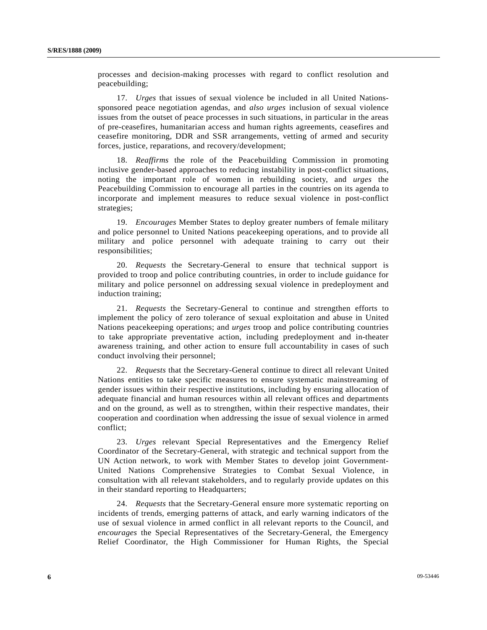processes and decision-making processes with regard to conflict resolution and peacebuilding;

 17. *Urges* that issues of sexual violence be included in all United Nationssponsored peace negotiation agendas, and *also urges* inclusion of sexual violence issues from the outset of peace processes in such situations, in particular in the areas of pre-ceasefires, humanitarian access and human rights agreements, ceasefires and ceasefire monitoring, DDR and SSR arrangements, vetting of armed and security forces, justice, reparations, and recovery/development;

 18. *Reaffirms* the role of the Peacebuilding Commission in promoting inclusive gender-based approaches to reducing instability in post-conflict situations, noting the important role of women in rebuilding society, and *urges* the Peacebuilding Commission to encourage all parties in the countries on its agenda to incorporate and implement measures to reduce sexual violence in post-conflict strategies;

 19. *Encourages* Member States to deploy greater numbers of female military and police personnel to United Nations peacekeeping operations, and to provide all military and police personnel with adequate training to carry out their responsibilities;

 20. *Requests* the Secretary-General to ensure that technical support is provided to troop and police contributing countries, in order to include guidance for military and police personnel on addressing sexual violence in predeployment and induction training;

 21. *Requests* the Secretary-General to continue and strengthen efforts to implement the policy of zero tolerance of sexual exploitation and abuse in United Nations peacekeeping operations; and *urges* troop and police contributing countries to take appropriate preventative action, including predeployment and in-theater awareness training, and other action to ensure full accountability in cases of such conduct involving their personnel;

 22. *Requests* that the Secretary-General continue to direct all relevant United Nations entities to take specific measures to ensure systematic mainstreaming of gender issues within their respective institutions, including by ensuring allocation of adequate financial and human resources within all relevant offices and departments and on the ground, as well as to strengthen, within their respective mandates, their cooperation and coordination when addressing the issue of sexual violence in armed conflict;

 23. *Urges* relevant Special Representatives and the Emergency Relief Coordinator of the Secretary-General, with strategic and technical support from the UN Action network, to work with Member States to develop joint Government-United Nations Comprehensive Strategies to Combat Sexual Violence, in consultation with all relevant stakeholders, and to regularly provide updates on this in their standard reporting to Headquarters;

 24. *Requests* that the Secretary-General ensure more systematic reporting on incidents of trends, emerging patterns of attack, and early warning indicators of the use of sexual violence in armed conflict in all relevant reports to the Council, and *encourages* the Special Representatives of the Secretary-General, the Emergency Relief Coordinator, the High Commissioner for Human Rights, the Special